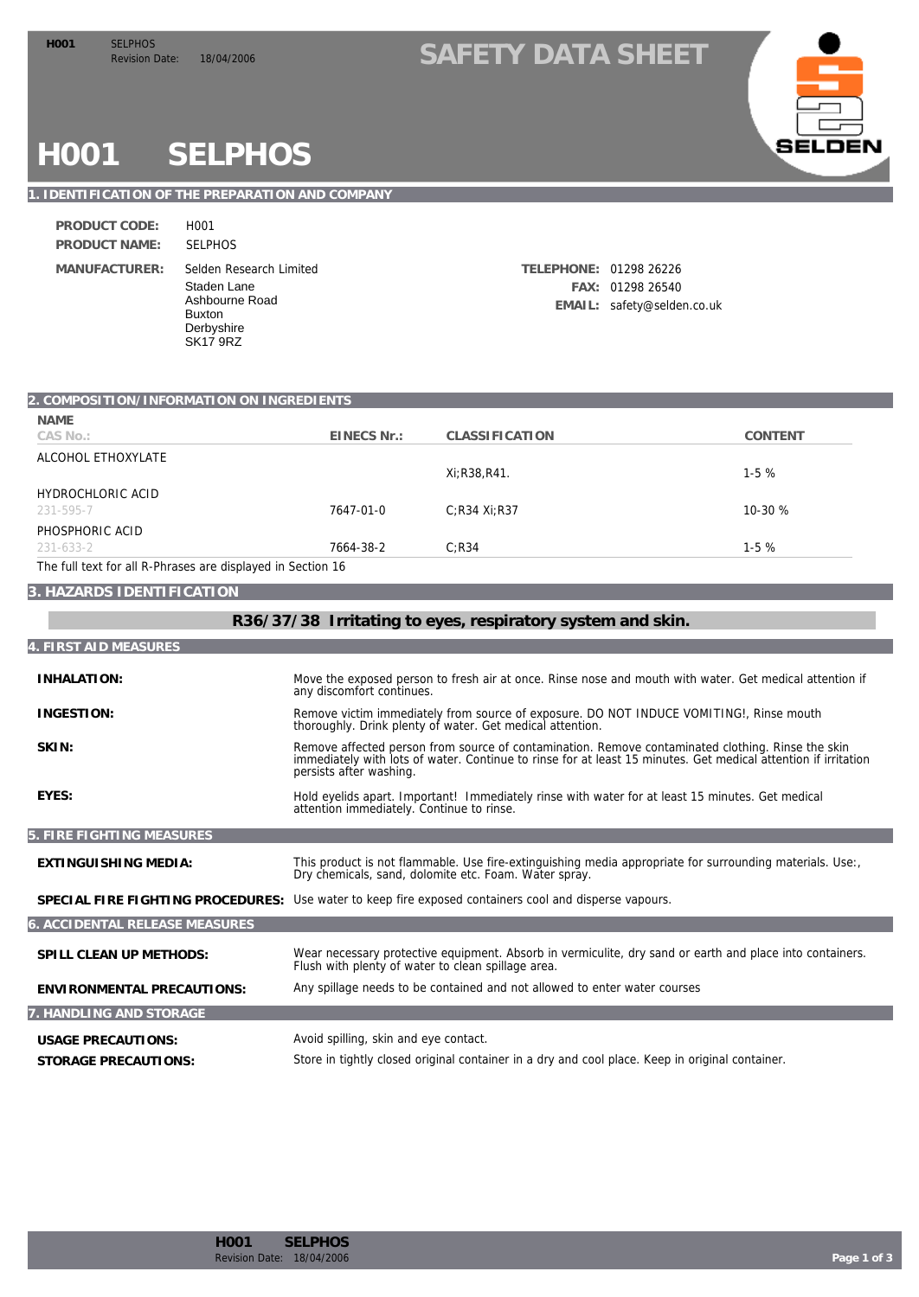### H001 SELPHOS<br>Revision Date: 18/04/2006 SAFETY DATA SHEET



## **H001 SELPHOS**

### **1. IDENTIFICATION OF THE PREPARATION AND COMPANY**

| PRODUCT CODE:        | H <sub>001</sub>                                                                                       |
|----------------------|--------------------------------------------------------------------------------------------------------|
| <b>PRODUCT NAME:</b> | <b>SELPHOS</b>                                                                                         |
| MANUFACTURER:        | Selden Research Lir<br>Staden Lane<br>Ashbourne Road<br><b>Buxton</b><br>Derbyshire<br><b>SK17 9RZ</b> |

| Selden Research Limited             | TELEPHONE: 01298 26226 |                            |
|-------------------------------------|------------------------|----------------------------|
| Staden Lane                         |                        | FAX: 01298 26540           |
| Ashbourne Road<br>$\mathsf{D}_{11}$ |                        | EMAIL: safety@selden.co.uk |

| 2. COMPOSITION/INFORMATION ON INGREDIENTS                   |             |                 |         |
|-------------------------------------------------------------|-------------|-----------------|---------|
| NAME                                                        |             |                 |         |
| CAS No.:                                                    | EINECS Nr.: | CLASSIFICATION  | CONTENT |
| ALCOHOL ETHOXYLATE                                          |             |                 |         |
|                                                             |             | Xi: R38, R41.   | $1-5%$  |
| HYDROCHLORIC ACID                                           |             |                 |         |
| 231-595-7                                                   | 7647-01-0   | $C:$ R34 Xi:R37 | 10-30 % |
| PHOSPHORIC ACID                                             |             |                 |         |
| 231-633-2                                                   | 7664-38-2   | C:R34           | $1-5%$  |
| The full text for all R-Phrases are displayed in Section 16 |             |                 |         |

#### **3. HAZARDS IDENTIFICATION**

| R36/37/38 Irritating to eyes, respiratory system and skin. |                                                                                                                                                                                                                                                |  |
|------------------------------------------------------------|------------------------------------------------------------------------------------------------------------------------------------------------------------------------------------------------------------------------------------------------|--|
| 4. FIRST AID MEASURES                                      |                                                                                                                                                                                                                                                |  |
| <b>INHALATION:</b>                                         | Move the exposed person to fresh air at once. Rinse nose and mouth with water. Get medical attention if<br>any discomfort continues.                                                                                                           |  |
| INGESTION:                                                 | Remove victim immediately from source of exposure. DO NOT INDUCE VOMITING!, Rinse mouth<br>thoroughly. Drink plenty of water. Get medical attention.                                                                                           |  |
| SKIN:                                                      | Remove affected person from source of contamination. Remove contaminated clothing. Rinse the skin<br>immediately with lots of water. Continue to rinse for at least 15 minutes. Get medical attention if irritation<br>persists after washing. |  |
| EYES:                                                      | Hold eyelids apart. Important! Immediately rinse with water for at least 15 minutes. Get medical<br>attention immediately. Continue to rinse.                                                                                                  |  |
| 5. FIRE FIGHTING MEASURES                                  |                                                                                                                                                                                                                                                |  |
| EXTINGUISHING MEDIA:                                       | This product is not flammable. Use fire-extinguishing media appropriate for surrounding materials. Use:<br>Dry chemicals, sand, dolomite etc. Foam. Water spray.                                                                               |  |
| SPECIAL FIRE FIGHTING PROCEDURES:                          | Use water to keep fire exposed containers cool and disperse vapours.                                                                                                                                                                           |  |
| <b>6. ACCIDENTAL RELEASE MEASURES</b>                      |                                                                                                                                                                                                                                                |  |
| SPILL CLEAN UP METHODS:                                    | Wear necessary protective equipment. Absorb in vermiculite, dry sand or earth and place into containers.<br>Flush with plenty of water to clean spillage area.                                                                                 |  |
| ENVIRONMENTAL PRECAUTIONS:                                 | Any spillage needs to be contained and not allowed to enter water courses                                                                                                                                                                      |  |
| 7. HANDLING AND STORAGE                                    |                                                                                                                                                                                                                                                |  |
| <b>USAGE PRECAUTIONS:</b>                                  | Avoid spilling, skin and eye contact.                                                                                                                                                                                                          |  |
| STORAGE PRECAUTIONS:                                       | Store in tightly closed original container in a dry and cool place. Keep in original container.                                                                                                                                                |  |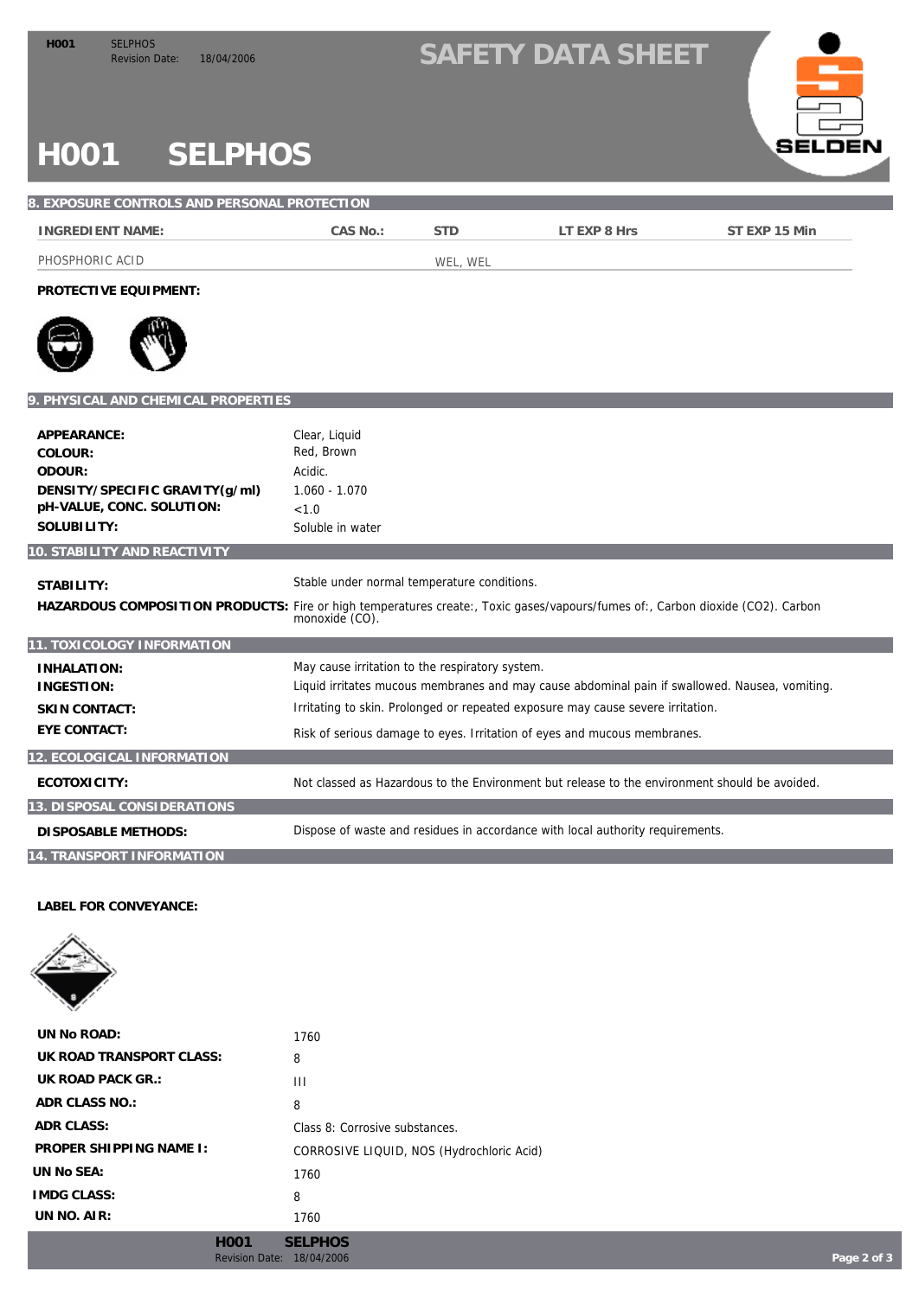## H001 SELPHOS<br>Revision Date: 18/04/2006 **SAFETY DATA SHEET**



# **H001 SELPHOS**

| 8. EXPOSURE CONTROLS AND PERSONAL PROTECTION                                                                                                 |                                                                                      |            |                                                                                                                                                                                                                                                               |               |
|----------------------------------------------------------------------------------------------------------------------------------------------|--------------------------------------------------------------------------------------|------------|---------------------------------------------------------------------------------------------------------------------------------------------------------------------------------------------------------------------------------------------------------------|---------------|
| <b>INGREDIENT NAME:</b>                                                                                                                      | CAS No.:                                                                             | <b>STD</b> | LT EXP 8 Hrs                                                                                                                                                                                                                                                  | ST EXP 15 Min |
| PHOSPHORIC ACID                                                                                                                              |                                                                                      | WEL, WEL   |                                                                                                                                                                                                                                                               |               |
| PROTECTIVE EQUIPMENT:                                                                                                                        |                                                                                      |            |                                                                                                                                                                                                                                                               |               |
|                                                                                                                                              |                                                                                      |            |                                                                                                                                                                                                                                                               |               |
| 9. PHYSICAL AND CHEMICAL PROPERTIES                                                                                                          |                                                                                      |            |                                                                                                                                                                                                                                                               |               |
| APPEARANCE:<br>COLOUR:<br>ODOUR:<br>DENSITY/SPECIFIC GRAVITY(g/ml)<br>pH-VALUE, CONC. SOLUTION:<br>SOLUBILITY:                               | Clear, Liquid<br>Red, Brown<br>Acidic.<br>1.060 - 1.070<br>< 1.0<br>Soluble in water |            |                                                                                                                                                                                                                                                               |               |
| 10. STABILITY AND REACTIVITY                                                                                                                 |                                                                                      |            |                                                                                                                                                                                                                                                               |               |
| STABILITY:<br>HAZARDOUS COMPOSITION PRODUCTS: Fire or high temperatures create:, Toxic gases/vapours/fumes of:, Carbon dioxide (CO2). Carbon | Stable under normal temperature conditions.<br>monoxide (CO).                        |            |                                                                                                                                                                                                                                                               |               |
| 11. TOXICOLOGY INFORMATION                                                                                                                   |                                                                                      |            |                                                                                                                                                                                                                                                               |               |
| INHALATION:<br><b>INGESTION:</b><br><b>SKIN CONTACT:</b><br><b>EYE CONTACT:</b>                                                              | May cause irritation to the respiratory system.                                      |            | Liquid irritates mucous membranes and may cause abdominal pain if swallowed. Nausea, vomiting.<br>Irritating to skin. Prolonged or repeated exposure may cause severe irritation.<br>Risk of serious damage to eyes. Irritation of eyes and mucous membranes. |               |
| 12. ECOLOGICAL INFORMATION                                                                                                                   |                                                                                      |            |                                                                                                                                                                                                                                                               |               |
| ECOTOXICITY:                                                                                                                                 |                                                                                      |            | Not classed as Hazardous to the Environment but release to the environment should be avoided.                                                                                                                                                                 |               |
| 13. DISPOSAL CONSIDERATIONS                                                                                                                  |                                                                                      |            |                                                                                                                                                                                                                                                               |               |
| <b>DISPOSABLE METHODS:</b>                                                                                                                   |                                                                                      |            | Dispose of waste and residues in accordance with local authority requirements.                                                                                                                                                                                |               |
| 14. TRANSPORT INFORMATION                                                                                                                    |                                                                                      |            |                                                                                                                                                                                                                                                               |               |

**LABEL FOR CONVEYANCE:**



| UN No ROAD:              | 1760                                      |
|--------------------------|-------------------------------------------|
| UK ROAD TRANSPORT CLASS: | 8                                         |
| UK ROAD PACK GR.:        | Ш                                         |
| ADR CLASS NO.:           | 8                                         |
| ADR CLASS:               | Class 8: Corrosive substances.            |
| PROPER SHIPPING NAME I:  | CORROSIVE LIQUID, NOS (Hydrochloric Acid) |
| UN No SEA:               | 1760                                      |
| <b>IMDG CLASS:</b>       | 8                                         |
| UN $NO.$ AIR:            | 1760                                      |
|                          |                                           |